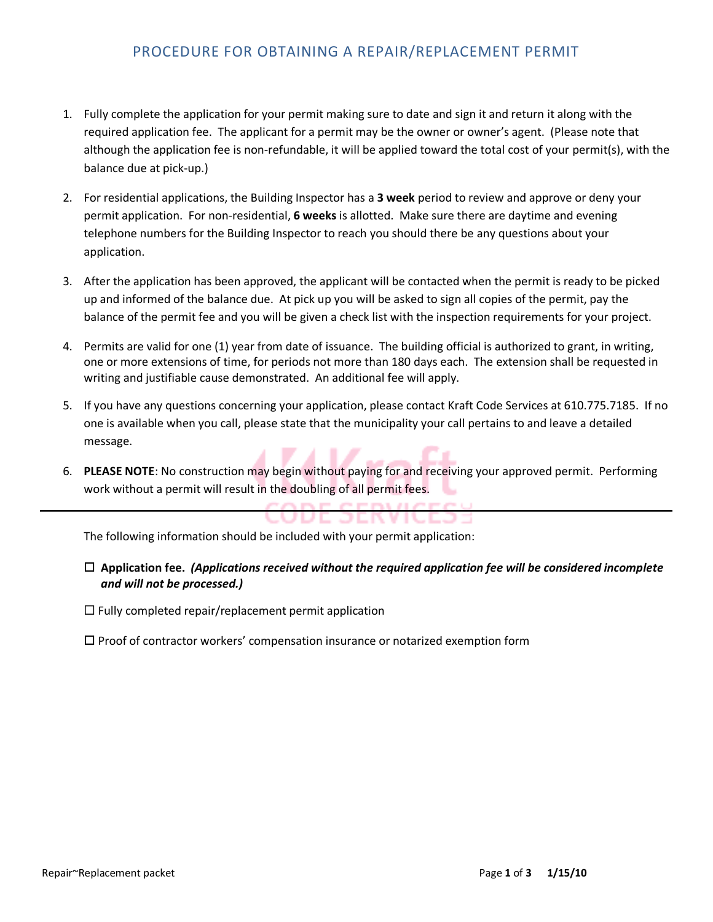## PROCEDURE FOR OBTAINING A REPAIR/REPLACEMENT PERMIT

- 1. Fully complete the application for your permit making sure to date and sign it and return it along with the required application fee. The applicant for a permit may be the owner or owner's agent. (Please note that although the application fee is non-refundable, it will be applied toward the total cost of your permit(s), with the balance due at pick-up.)
- 2. For residential applications, the Building Inspector has a **3 week** period to review and approve or deny your permit application. For non-residential, **6 weeks** is allotted. Make sure there are daytime and evening telephone numbers for the Building Inspector to reach you should there be any questions about your application.
- 3. After the application has been approved, the applicant will be contacted when the permit is ready to be picked up and informed of the balance due. At pick up you will be asked to sign all copies of the permit, pay the balance of the permit fee and you will be given a check list with the inspection requirements for your project.
- 4. Permits are valid for one (1) year from date of issuance. The building official is authorized to grant, in writing, one or more extensions of time, for periods not more than 180 days each. The extension shall be requested in writing and justifiable cause demonstrated. An additional fee will apply.
- 5. If you have any questions concerning your application, please contact Kraft Code Services at 610.775.7185. If no one is available when you call, please state that the municipality your call pertains to and leave a detailed message.
- 6. **PLEASE NOTE**: No construction may begin without paying for and receiving your approved permit. Performing work without a permit will result in the doubling of all permit fees.

The following information should be included with your permit application:

## **Application fee.** *(Applications received without the required application fee will be considered incomplete and will not be processed.)*

CUDE JERVICEJS

 $\Box$  Fully completed repair/replacement permit application

 $\square$  Proof of contractor workers' compensation insurance or notarized exemption form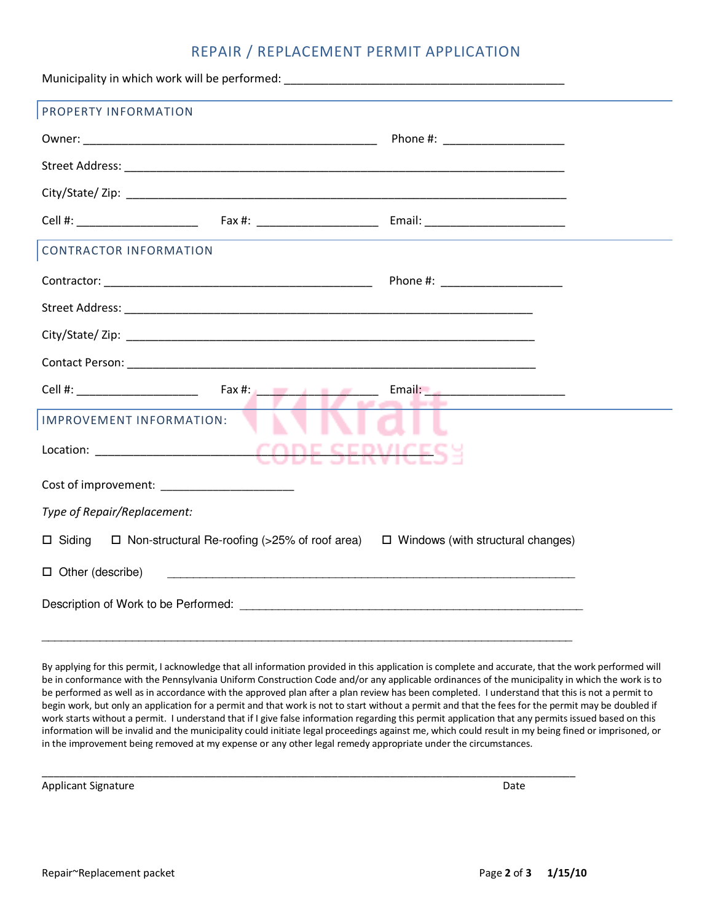## REPAIR / REPLACEMENT PERMIT APPLICATION

| PROPERTY INFORMATION                                                                         |                                                                                                                              |
|----------------------------------------------------------------------------------------------|------------------------------------------------------------------------------------------------------------------------------|
|                                                                                              |                                                                                                                              |
|                                                                                              |                                                                                                                              |
|                                                                                              |                                                                                                                              |
|                                                                                              |                                                                                                                              |
| <b>CONTRACTOR INFORMATION</b>                                                                |                                                                                                                              |
|                                                                                              | Phone #: ________________________                                                                                            |
|                                                                                              |                                                                                                                              |
|                                                                                              |                                                                                                                              |
|                                                                                              |                                                                                                                              |
|                                                                                              | Email: 2000 - 2000 - 2010 - 2010 - 2010 - 2010 - 2010 - 2011 - 2012 - 2012 - 2012 - 2012 - 2012 - 201<br><b>IZ aras dede</b> |
| IMPROVEMENT INFORMATION:                                                                     |                                                                                                                              |
| Location: _______________________CODE SERVICES                                               |                                                                                                                              |
|                                                                                              |                                                                                                                              |
| Type of Repair/Replacement:                                                                  |                                                                                                                              |
| □ Siding □ Non-structural Re-roofing (>25% of roof area) □ Windows (with structural changes) |                                                                                                                              |
| $\Box$ Other (describe)                                                                      |                                                                                                                              |
|                                                                                              |                                                                                                                              |

By applying for this permit, I acknowledge that all information provided in this application is complete and accurate, that the work performed will be in conformance with the Pennsylvania Uniform Construction Code and/or any applicable ordinances of the municipality in which the work is to be performed as well as in accordance with the approved plan after a plan review has been completed. I understand that this is not a permit to begin work, but only an application for a permit and that work is not to start without a permit and that the fees for the permit may be doubled if work starts without a permit. I understand that if I give false information regarding this permit application that any permits issued based on this information will be invalid and the municipality could initiate legal proceedings against me, which could result in my being fined or imprisoned, or in the improvement being removed at my expense or any other legal remedy appropriate under the circumstances.

\_\_\_\_\_\_\_\_\_\_\_\_\_\_\_\_\_\_\_\_\_\_\_\_\_\_\_\_\_\_\_\_\_\_\_\_\_\_\_\_\_\_\_\_\_\_\_\_\_\_\_\_\_\_\_\_\_\_\_\_\_\_\_\_\_\_\_\_\_\_\_\_\_\_\_\_\_\_\_\_\_\_\_\_\_\_\_\_\_\_\_\_

Applicant Signature Date Applicant Signature Date Applicant Signature Date Applicant Signature Date